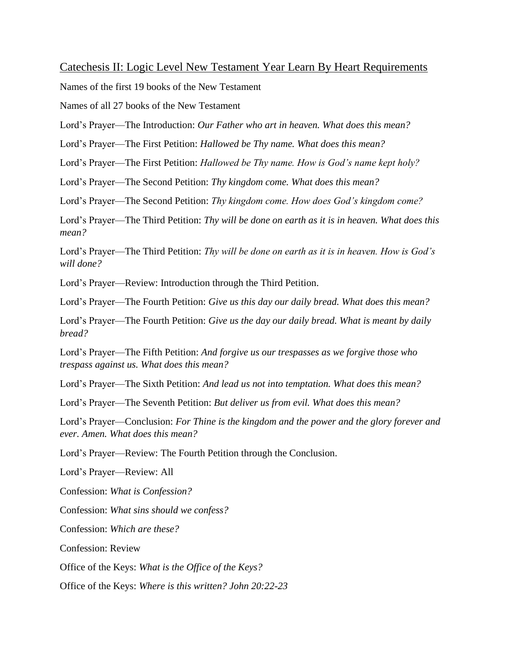## Catechesis II: Logic Level New Testament Year Learn By Heart Requirements

Names of the first 19 books of the New Testament

Names of all 27 books of the New Testament

Lord's Prayer—The Introduction: *Our Father who art in heaven. What does this mean?*

Lord's Prayer—The First Petition: *Hallowed be Thy name. What does this mean?*

Lord's Prayer—The First Petition: *Hallowed be Thy name. How is God's name kept holy?*

Lord's Prayer—The Second Petition: *Thy kingdom come. What does this mean?*

Lord's Prayer—The Second Petition: *Thy kingdom come. How does God's kingdom come?*

Lord's Prayer—The Third Petition: *Thy will be done on earth as it is in heaven. What does this mean?*

Lord's Prayer—The Third Petition: *Thy will be done on earth as it is in heaven. How is God's will done?*

Lord's Prayer—Review: Introduction through the Third Petition.

Lord's Prayer—The Fourth Petition: *Give us this day our daily bread. What does this mean?*

Lord's Prayer—The Fourth Petition: *Give us the day our daily bread. What is meant by daily bread?*

Lord's Prayer—The Fifth Petition: *And forgive us our trespasses as we forgive those who trespass against us. What does this mean?*

Lord's Prayer—The Sixth Petition: *And lead us not into temptation. What does this mean?*

Lord's Prayer—The Seventh Petition: *But deliver us from evil. What does this mean?*

Lord's Prayer—Conclusion: *For Thine is the kingdom and the power and the glory forever and ever. Amen. What does this mean?*

Lord's Prayer—Review: The Fourth Petition through the Conclusion.

Lord's Prayer—Review: All

Confession: *What is Confession?*

Confession: *What sins should we confess?*

Confession: *Which are these?*

Confession: Review

Office of the Keys: *What is the Office of the Keys?*

Office of the Keys: *Where is this written? John 20:22-23*